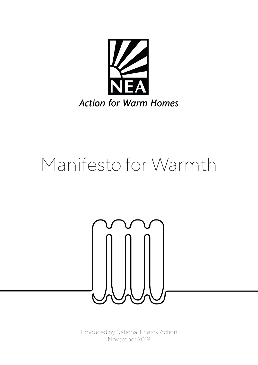

# Manifesto for Warmth



Produced by National Energy Action November 2019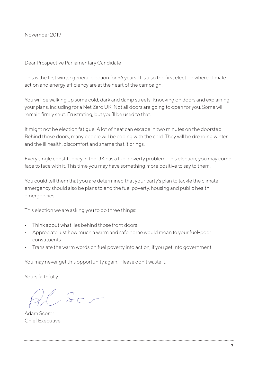November 2019

Dear Prospective Parliamentary Candidate

This is the first winter general election for 96 years. It is also the first election where climate action and energy efficiency are at the heart of the campaign.

You will be walking up some cold, dark and damp streets. Knocking on doors and explaining your plans, including for a Net Zero UK. Not all doors are going to open for you. Some will remain firmly shut. Frustrating, but you'll be used to that.

It might not be election fatigue. A lot of heat can escape in two minutes on the doorstep. Behind those doors, many people will be coping with the cold. They will be dreading winter and the ill health, discomfort and shame that it brings.

Every single constituency in the UK has a fuel poverty problem. This election, you may come face to face with it. This time you may have something more positive to say to them.

You could tell them that you are determined that your party's plan to tackle the climate emergency should also be plans to end the fuel poverty, housing and public health emergencies.

This election we are asking you to do three things:

- Think about what lies behind those front doors
- Appreciate just how much a warm and safe home would mean to your fuel-poor constituents
- Translate the warm words on fuel poverty into action, if you get into government

You may never get this opportunity again. Please don't waste it.

Yours faithfully

Adam Scorer Chief Executive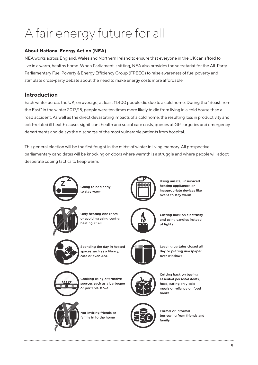## A fair energy future for all

#### **About National Energy Action (NEA)**

NEA works across England, Wales and Northern Ireland to ensure that everyone in the UK can afford to live in a warm, healthy home. When Parliament is sitting, NEA also provides the secretariat for the All-Party Parliamentary Fuel Poverty & Energy Efficiency Group (FPEEG) to raise awareness of fuel poverty and stimulate cross-party debate about the need to make energy costs more affordable.

#### **Introduction**

Each winter across the UK, on average, at least 11,400 people die due to a cold home. During the "Beast from the East" in the winter 2017/18, people were ten times more likely to die from living in a cold house than a road accident. As well as the direct devastating impacts of a cold home, the resulting loss in productivity and cold-related ill health causes significant health and social care costs, queues at GP surgeries and emergency departments and delays the discharge of the most vulnerable patients from hospital.

This general election will be the first fought in the midst of winter in living memory. All prospective parliamentary candidates will be knocking on doors where warmth is a struggle and where people will adopt desperate coping tactics to keep warm.



Going to bed early to stay warm



Using unsafe, unserviced heating appliances or inappropriate devices like ovens to stav warm



Only heating one room or avoiding using central heating at all



Cutting back on electricity and using candles instead of lights



Spending the day in heated spaces such as a library, cafe or even A&E



Leaving curtains closed all day or putting newspaper over windows



Cooking using alternative sources such as a barbeque or portable stove



Not inviting friends or amily in to the home



Cutting back on buying essential personal items, food, eating only cold meals or reliance on food **banks** 



**Formal or informal** borrowing from friends and family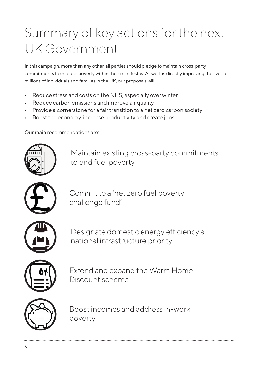## Summary of key actions for the next UK Government

In this campaign, more than any other, all parties should pledge to maintain cross-party commitments to end fuel poverty within their manifestos. As well as directly improving the lives of millions of individuals and families in the UK, our proposals will:

- Reduce stress and costs on the NHS, especially over winter
- Reduce carbon emissions and improve air quality
- Provide a cornerstone for a fair transition to a net zero carbon society
- Boost the economy, increase productivity and create jobs

Our main recommendations are:



Maintain existing cross-party commitments to end fuel poverty



Commit to a 'net zero fuel poverty challenge fund'



Designate domestic energy efficiency a national infrastructure priority



Extend and expand the Warm Home Discount scheme



Boost incomes and address in-work poverty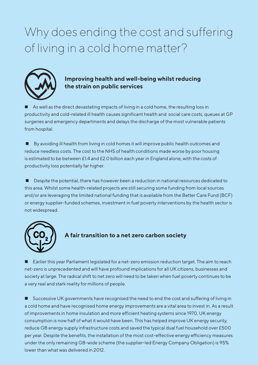## Why does ending the cost and suffering of living in a cold home matter?



#### **Improving health and well-being whilst reducing the strain on public services**

As well as the direct devastating impacts of living in a cold home, the resulting loss in productivity and cold-related ill health causes significant health and social care costs, queues at GP surgeries and emergency departments and delays the discharge of the most vulnerable patients from hospital.

 $\blacksquare$  By avoiding ill health from living in cold homes it will improve public health outcomes and reduce needless costs. The cost to the NHS of health conditions made worse by poor housing is estimated to be between £1.4 and £2.0 billion each year in England alone, with the costs of productivity loss potentially far higher.

**n** Despite the potential, there has however been a reduction in national resources dedicated to this area. Whilst some health-related projects are still securing some funding from local sources and/or are leveraging the limited national funding that is available from the Better Care Fund (BCF) or energy supplier-funded schemes, investment in fuel poverty interventions by the health sector is not widespread.



#### **A fair transition to a net zero carbon society**

Earlier this year Parliament legislated for a net-zero emission reduction target. The aim to reach net-zero is unprecedented and will have profound implications for all UK citizens, businesses and society at large. The radical shift to net zero will need to be taken when fuel poverty continues to be a very real and stark reality for millions of people.

■ Successive UK governments have recognised the need to end the cost and suffering of living in a cold home and have recognised home energy improvements are a vital area to invest in. As a result of improvements in home insulation and more efficient heating systems since 1970, UK energy consumption is now half of what it would have been. This has helped improve UK energy security, reduce GB energy supply infrastructure costs and saved the typical dual fuel household over £500 per year. Despite the benefits, the installation of the most cost-effective energy efficiency measures under the only remaining GB-wide scheme (the supplier-led Energy Company Obligation) is 95% lower than what was delivered in 2012.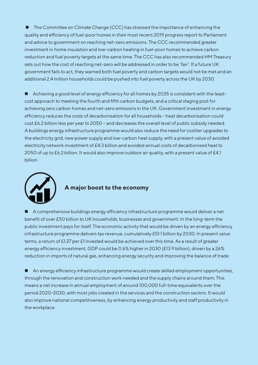■ The Committee on Climate Change (CCC) has stressed the importance of enhancing the quality and efficiency of fuel-poor homes in their most recent 2019 progress report to Parliament and advice to government on reaching net-zero emissions. The CCC recommended greater investment in home insulation and low-carbon heating in fuel-poor homes to achieve carbon reduction and fuel poverty targets at the same time. The CCC has also recommended HM Treasury sets out how the cost of reaching net-zero will be addressed in order to be 'fair'. If a future UK government fails to act, they warned both fuel poverty and carbon targets would not be met and an additional 2.4 million households could be pushed into fuel poverty across the UK by 2030.

■ Achieving a good level of energy efficiency for all homes by 2035 is consistent with the leastcost approach to meeting the fourth and fifth carbon budgets, and a critical staging post for achieving zero carbon homes and net-zero emissions in the UK. Government investment in energy efficiency reduces the costs of decarbonisation for all households – heat decarbonisation could cost £6.2 billion less per year to 2050 – and decreases the overall level of public subsidy needed. A buildings energy infrastructure programme would also reduce the need for costlier upgrades to the electricity grid, new power supply and low-carbon heat supply, with a present value of avoided electricity network investment of £4.3 billion and avoided annual costs of decarbonised heat to 2050 of up to £6.2 billion. It would also improve outdoor air quality, with a present value of £4.1 billion.



#### **A major boost to the economy**

n A comprehensive buildings energy efficiency infrastructure programme would deliver a net benefit of over £50 billion to UK households, businesses and government. In the long-term the public investment pays for itself. The economic activity that would be driven by an energy efficiency infrastructure programme delivers tax revenue, cumulatively £51.1 billion by 2030. In present value terms, a return of £1.27 per £1 invested would be achieved over this time. As a result of greater energy efficiency investment, GDP could be 0.6% higher in 2030 (£13.9 billion), driven by a 26% reduction in imports of natural gas, enhancing energy security and improving the balance of trade.

■ An energy efficiency infrastructure programme would create skilled employment opportunities, through the renovation and construction work needed and the supply chains around them. This means a net increase in annual employment of around 100,000 full-time equivalents over the period 2020-2030, with most jobs created in the services and the construction sectors. It would also improve national competitiveness, by enhancing energy productivity and staff productivity in the workplace.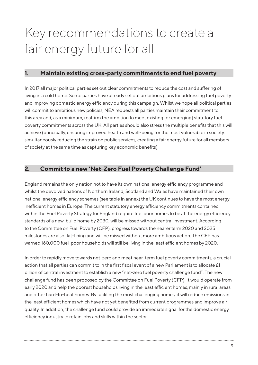## Key recommendations to create a fair energy future for all

#### **1. Maintain existing cross-party commitments to end fuel poverty**

In 2017 all major political parties set out clear commitments to reduce the cost and suffering of living in a cold home. Some parties have already set out ambitious plans for addressing fuel poverty and improving domestic energy efficiency during this campaign. Whilst we hope all political parties will commit to ambitious new policies, NEA requests all parties maintain their commitment to this area and, as a minimum, reaffirm the ambition to meet existing (or emerging) statutory fuel poverty commitments across the UK. All parties should also stress the multiple benefits that this will achieve (principally, ensuring improved health and well-being for the most vulnerable in society, simultaneously reducing the strain on public services, creating a fair energy future for all members of society at the same time as capturing key economic benefits).

#### **2. Commit to a new 'Net-Zero Fuel Poverty Challenge Fund'**

England remains the only nation not to have its own national energy efficiency programme and whilst the devolved nations of Northern Ireland, Scotland and Wales have maintained their own national energy efficiency schemes (see table in annex) the UK continues to have the most energy inefficient homes in Europe. The current statutory energy efficiency commitments contained within the Fuel Poverty Strategy for England require fuel poor homes to be at the energy efficiency standards of a new-build home by 2030, will be missed without central investment. According to the Committee on Fuel Poverty (CFP), progress towards the nearer term 2020 and 2025 milestones are also flat-lining and will be missed without more ambitious action. The CFP has warned 160,000 fuel-poor households will still be living in the least efficient homes by 2020.

In order to rapidly move towards net-zero and meet near-term fuel poverty commitments, a crucial action that all parties can commit to in the first fiscal event of a new Parliament is to allocate £1 billion of central investment to establish a new "net-zero fuel poverty challenge fund". The new challenge fund has been proposed by the Committee on Fuel Poverty (CFP). It would operate from early 2020 and help the poorest households living in the least efficient homes, mainly in rural areas and other hard-to-heat homes. By tackling the most challenging homes, it will reduce emissions in the least efficient homes which have not yet benefited from current programmes and improve air quality. In addition, the challenge fund could provide an immediate signal for the domestic energy efficiency industry to retain jobs and skills within the sector.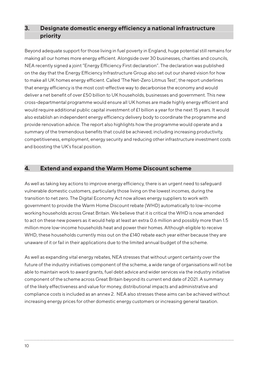#### **3. Designate domestic energy efficiency a national infrastructure priority**

Beyond adequate support for those living in fuel poverty in England, huge potential still remains for making all our homes more energy efficient. Alongside over 30 businesses, charities and councils, NEA recently signed a joint "Energy Efficiency First declaration". The declaration was published on the day that the Energy Efficiency Infrastructure Group also set out our shared vision for how to make all UK homes energy efficient. Called 'The Net-Zero Litmus Test', the report underlines that energy efficiency is the most cost-effective way to decarbonise the economy and would deliver a net benefit of over £50 billion to UK households, businesses and government. This new cross-departmental programme would ensure all UK homes are made highly energy efficient and would require additional public capital investment of £1 billion a year for the next 15 years. It would also establish an independent energy efficiency delivery body to coordinate the programme and provide renovation advice. The report also highlights how the programme would operate and a summary of the tremendous benefits that could be achieved; including increasing productivity, competitiveness, employment, energy security and reducing other infrastructure investment costs and boosting the UK's fiscal position.

#### **4. Extend and expand the Warm Home Discount scheme**

As well as taking key actions to improve energy efficiency, there is an urgent need to safeguard vulnerable domestic customers, particularly those living on the lowest incomes, during the transition to net zero. The Digital Economy Act now allows energy suppliers to work with government to provide the Warm Home Discount rebate (WHD) automatically to low-income working households across Great Britain. We believe that it is critical the WHD is now amended to act on these new powers as it would help at least an extra 0.6 million and possibly more than 1.5 million more low-income households heat and power their homes. Although eligible to receive WHD, these households currently miss out on the £140 rebate each year either because they are unaware of it or fail in their applications due to the limited annual budget of the scheme.

As well as expanding vital energy rebates, NEA stresses that without urgent certainty over the future of the industry initiatives component of the scheme, a wide range of organisations will not be able to maintain work to award grants, fuel debt advice and wider services via the industry initiative component of the scheme across Great Britain beyond its current end date of 2021. A summary of the likely effectiveness and value for money, distributional impacts and administrative and compliance costs is included as an annex 2. NEA also stresses these aims can be achieved without increasing energy prices for other domestic energy customers or increasing general taxation.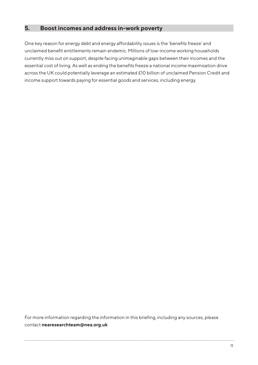#### **5. Boost incomes and address in-work poverty**

One key reason for energy debt and energy affordability issues is the 'benefits freeze' and unclaimed benefit entitlements remain endemic. Millions of low-income working households currently miss out on support, despite facing unimaginable gaps between their incomes and the essential cost of living. As well as ending the benefits freeze a national income maximisation drive across the UK could potentially leverage an estimated £10 billion of unclaimed Pension Credit and income support towards paying for essential goods and services, including energy.

For more information regarding the information in this briefing, including any sources, please contact **nearesearchteam@nea.org.uk**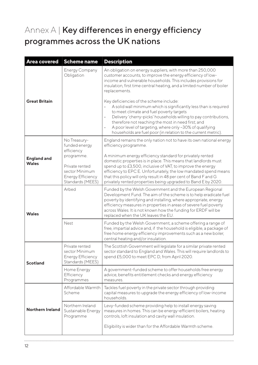### Annex A | Key differences in energy efficiency programmes across the UK nations

| <b>Area covered</b>                | <b>Scheme name</b>                                                               | <b>Description</b>                                                                                                                                                                                                                                                                                                                                                                                                           |
|------------------------------------|----------------------------------------------------------------------------------|------------------------------------------------------------------------------------------------------------------------------------------------------------------------------------------------------------------------------------------------------------------------------------------------------------------------------------------------------------------------------------------------------------------------------|
| <b>Great Britain</b>               | <b>Energy Company</b><br>Obligation                                              | An obligation on energy suppliers, with more than 250,000<br>customer accounts, to improve the energy efficiency of low-<br>income and vulnerable households. This includes provisions for<br>insulation, first time central heating, and a limited number of boiler<br>replacements.                                                                                                                                        |
|                                    |                                                                                  | Key deficiencies of the scheme include:<br>A solid wall minimum which is significantly less than is required<br>to meet climate and fuel poverty targets<br>Delivery 'cherry-picks' households willing to pay contributions,<br>$\bullet$<br>therefore not reaching the most in need first; and<br>A poor level of targeting, where only ~30% of qualifying<br>households are fuel poor (in relation to the current metric). |
| <b>England and</b><br><b>Wales</b> | No Treasury-<br>funded energy<br>efficiency<br>programme.<br>Private rented      | England remains the only nation not to have its own national energy<br>efficiency programme.<br>A minimum energy efficiency standard for privately rented<br>domestic properties is in place. This means that landlords must<br>spend up to £3,500, inclusive of VAT, to improve the energy                                                                                                                                  |
|                                    | sector Minimum<br><b>Energy Efficiency</b><br>Standards (MEES)                   | efficiency to EPC E. Unfortunately, the low mandated spend means<br>that this policy will only result in 48 per cent of Band F and G<br>privately rented properties being upgraded to Band E by 2020.                                                                                                                                                                                                                        |
| <b>Wales</b>                       | Arbed                                                                            | Funded by the Welsh Government and the European Regional<br>Development Fund. The aim of the scheme is to help eradicate fuel<br>poverty by identifying and installing, where appropriate, energy<br>efficiency measures in properties in areas of severe fuel poverty<br>across Wales. It is not known how the funding for ERDF will be<br>replaced when the UK leaves the EU.                                              |
|                                    | Nest                                                                             | Funded by the Welsh Government, a scheme offering a range of<br>free, impartial advice and, if the household is eligible, a package of<br>free home energy efficiency improvements such as a new boiler,<br>central heating and/or insulation.                                                                                                                                                                               |
| <b>Scotland</b>                    | Private rented<br>sector Minimum<br><b>Energy Efficiency</b><br>Standards (MEES) | The Scottish Government will legislate for a similar private rented<br>sector standard to England and Wales. This will require landlords to<br>spend £5,000 to meet EPC D, from April 2020.                                                                                                                                                                                                                                  |
|                                    | Home Energy<br>Efficiency<br>Programmes                                          | A government-funded scheme to offer households free energy<br>advice, benefits entitlement checks and energy efficiency<br>measures.                                                                                                                                                                                                                                                                                         |
| <b>Northern Ireland</b>            | Affordable Warmth<br>Scheme                                                      | Tackles fuel poverty in the private sector through providing<br>capital measures to upgrade the energy efficiency of low-income<br>households.                                                                                                                                                                                                                                                                               |
|                                    | Northern Ireland<br>Sustainable Energy<br>Programme                              | Levy-funded scheme providing help to install energy saving<br>measures in homes. This can be energy-efficient boilers, heating<br>controls, loft insulation and cavity wall insulation.                                                                                                                                                                                                                                      |
|                                    |                                                                                  | Eligibility is wider than for the Affordable Warmth scheme.                                                                                                                                                                                                                                                                                                                                                                  |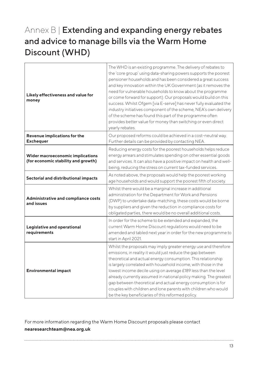### Annex B | Extending and expanding energy rebates and advice to manage bills via the Warm Home Discount (WHD)

| Likely effectiveness and value for<br>money                             | The WHD is an existing programme. The delivery of rebates to<br>the 'core group' using data-sharing powers supports the poorest<br>pensioner households and has been considered a great success<br>and key innovation within the UK Government (as it removes the<br>need for vulnerable households to know about the programme<br>or come forward for support). Our proposals would build on this<br>success. Whilst Ofgem [via E-serve] has never fully evaluated the<br>industry initiatives component of the scheme, NEA's own delivery<br>of the scheme has found this part of the programme often<br>provides better value for money than switching or even direct<br>yearly rebates. |
|-------------------------------------------------------------------------|---------------------------------------------------------------------------------------------------------------------------------------------------------------------------------------------------------------------------------------------------------------------------------------------------------------------------------------------------------------------------------------------------------------------------------------------------------------------------------------------------------------------------------------------------------------------------------------------------------------------------------------------------------------------------------------------|
| Revenue implications for the<br><b>Exchequer</b>                        | Our proposed reforms could be achieved in a cost-neutral way.<br>Further details can be provided by contacting NEA.                                                                                                                                                                                                                                                                                                                                                                                                                                                                                                                                                                         |
| Wider macroeconomic implications<br>(for economic stability and growth) | Reducing energy costs for the poorest households helps reduce<br>energy arrears and stimulates spending on other essential goods<br>and services. It can also have a positive impact on health and well-<br>being, reducing the stress on current tax-funded services.                                                                                                                                                                                                                                                                                                                                                                                                                      |
| Sectorial and distributional impacts                                    | As noted above, the proposals would help the poorest working<br>age households and would support the poorest fifth of society.                                                                                                                                                                                                                                                                                                                                                                                                                                                                                                                                                              |
| Administrative and compliance costs<br>and issues                       | Whilst there would be a marginal increase in additional<br>administration for the Department for Work and Pensions<br>(DWP) to undertake data-matching, these costs would be borne<br>by suppliers and given the reduction in compliance costs for<br>obligated parties, there would be no overall additional costs.                                                                                                                                                                                                                                                                                                                                                                        |
| Legislative and operational<br>requirements                             | In order for the scheme to be extended and expanded, the<br>current Warm Home Discount regulations would need to be<br>amended and tabled next year in order for the new programme to<br>start in April 2021.                                                                                                                                                                                                                                                                                                                                                                                                                                                                               |
| <b>Environmental impact</b>                                             | Whilst the proposals may imply greater energy use and therefore<br>emissions, in reality it would just reduce the gap between<br>theoretical and actual energy consumption. This relationship<br>is largely correlated with household income, with those in the<br>lowest income decile using on average £189 less than the level<br>already currently assumed in national policy making. The greatest<br>gap between theoretical and actual energy consumption is for<br>couples with children and lone parents with children who would<br>be the key beneficiaries of this reformed policy.                                                                                               |

For more information regarding the Warm Home Discount proposals please contact **nearesearchteam@nea.org.uk**